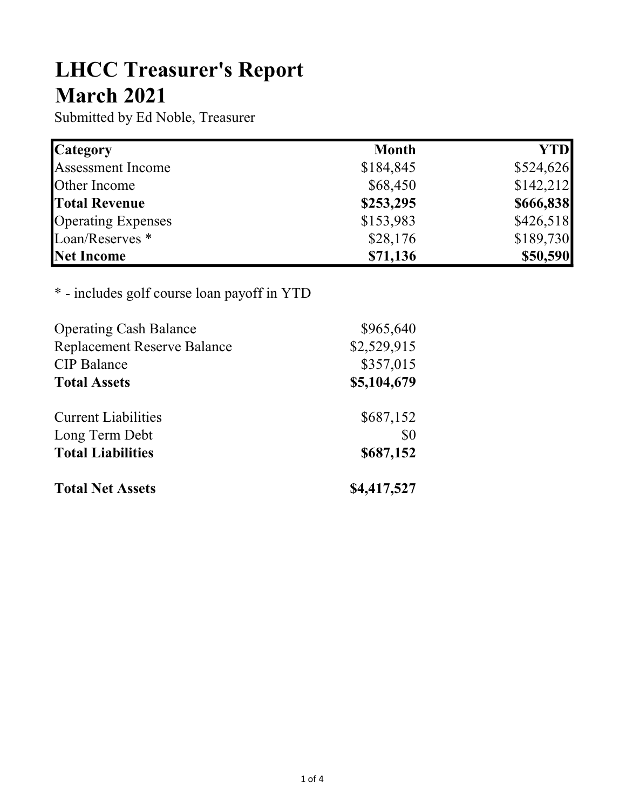# LHCC Treasurer's Report March 2021

Submitted by Ed Noble, Treasurer

| <b>Category</b>           | <b>Month</b> | <b>YTD</b> |
|---------------------------|--------------|------------|
| <b>Assessment Income</b>  | \$184,845    | \$524,626  |
| Other Income              | \$68,450     | \$142,212  |
| <b>Total Revenue</b>      | \$253,295    | \$666,838  |
| <b>Operating Expenses</b> | \$153,983    | \$426,518  |
| Loan/Reserves *           | \$28,176     | \$189,730  |
| Net Income                | \$71,136     | \$50,590   |

## \* - includes golf course loan payoff in YTD

| <b>Operating Cash Balance</b>      | \$965,640   |
|------------------------------------|-------------|
| <b>Replacement Reserve Balance</b> | \$2,529,915 |
| <b>CIP</b> Balance                 | \$357,015   |
| <b>Total Assets</b>                | \$5,104,679 |
| <b>Current Liabilities</b>         | \$687,152   |
| Long Term Debt                     | \$0         |
| <b>Total Liabilities</b>           | \$687,152   |
| <b>Total Net Assets</b>            | \$4,417,527 |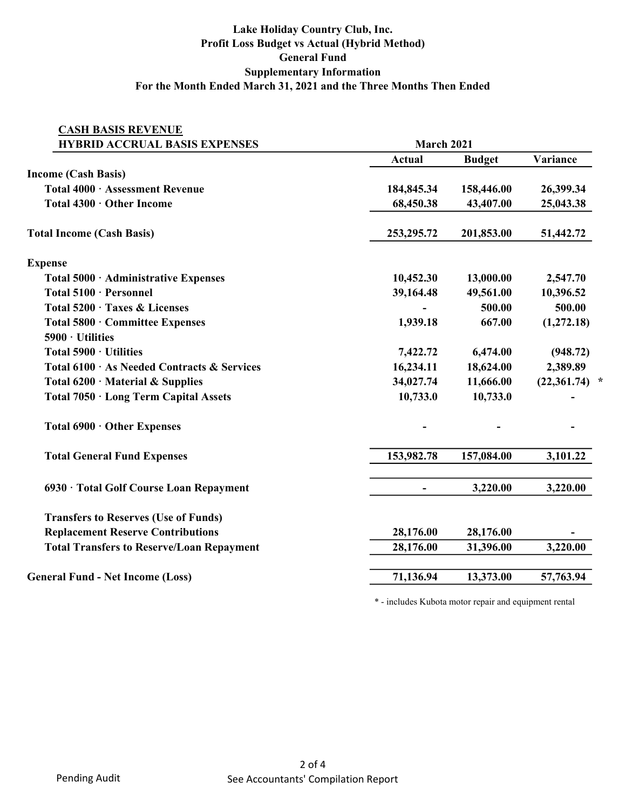## Lake Holiday Country Club, Inc. Profit Loss Budget vs Actual (Hybrid Method) General Fund Supplementary Information For the Month Ended March 31, 2021 and the Three Months Then Ended

| <b>HYBRID ACCRUAL BASIS EXPENSES</b>             | March 2021     |               |                 |
|--------------------------------------------------|----------------|---------------|-----------------|
|                                                  | <b>Actual</b>  | <b>Budget</b> | Variance        |
| <b>Income (Cash Basis)</b>                       |                |               |                 |
| Total 4000 · Assessment Revenue                  | 184,845.34     | 158,446.00    | 26,399.34       |
| Total 4300 · Other Income                        | 68,450.38      | 43,407.00     | 25,043.38       |
| <b>Total Income (Cash Basis)</b>                 | 253, 295. 72   | 201,853.00    | 51,442.72       |
| <b>Expense</b>                                   |                |               |                 |
| Total 5000 · Administrative Expenses             | 10,452.30      | 13,000.00     | 2,547.70        |
| Total 5100 · Personnel                           | 39,164.48      | 49,561.00     | 10,396.52       |
| Total 5200 · Taxes & Licenses                    |                | 500.00        | 500.00          |
| Total 5800 · Committee Expenses                  | 1,939.18       | 667.00        | (1,272.18)      |
| 5900 · Utilities                                 |                |               |                 |
| Total 5900 · Utilities                           | 7,422.72       | 6,474.00      | (948.72)        |
| Total 6100 · As Needed Contracts & Services      | 16,234.11      | 18,624.00     | 2,389.89        |
| Total $6200 \cdot$ Material & Supplies           | 34,027.74      | 11,666.00     | $(22,361.74)$ * |
| Total 7050 · Long Term Capital Assets            | 10,733.0       | 10,733.0      |                 |
| Total 6900 · Other Expenses                      |                |               |                 |
| <b>Total General Fund Expenses</b>               | 153,982.78     | 157,084.00    | 3,101.22        |
| 6930 · Total Golf Course Loan Repayment          | $\blacksquare$ | 3,220.00      | 3,220.00        |
| <b>Transfers to Reserves (Use of Funds)</b>      |                |               |                 |
| <b>Replacement Reserve Contributions</b>         | 28,176.00      | 28,176.00     |                 |
| <b>Total Transfers to Reserve/Loan Repayment</b> | 28,176.00      | 31,396.00     | 3,220.00        |
| <b>General Fund - Net Income (Loss)</b>          | 71,136.94      | 13,373.00     | 57,763.94       |

\* - includes Kubota motor repair and equipment rental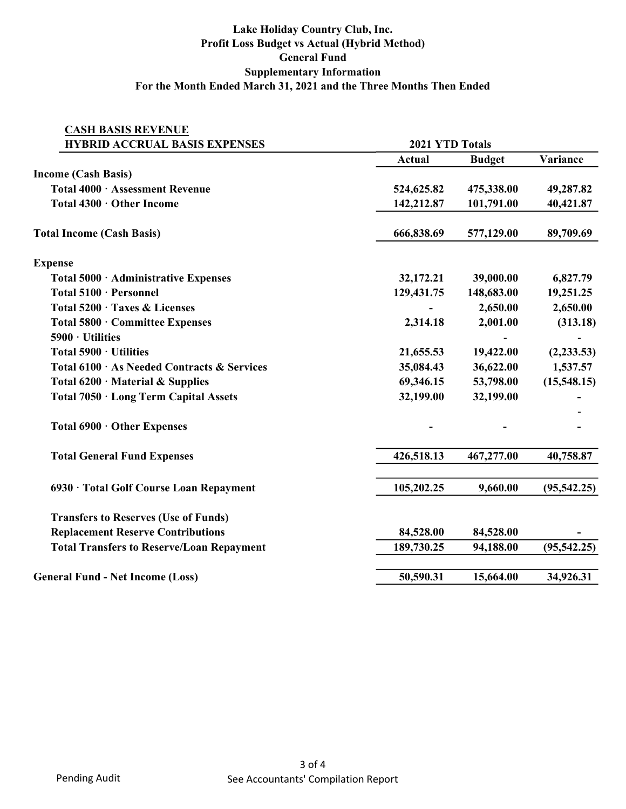## Lake Holiday Country Club, Inc. Profit Loss Budget vs Actual (Hybrid Method) General Fund Supplementary Information For the Month Ended March 31, 2021 and the Three Months Then Ended

| <b>CASH BASIS REVENUE</b>                        |                 |               |              |
|--------------------------------------------------|-----------------|---------------|--------------|
| <b>HYBRID ACCRUAL BASIS EXPENSES</b>             | 2021 YTD Totals |               |              |
|                                                  | <b>Actual</b>   | <b>Budget</b> | Variance     |
| <b>Income (Cash Basis)</b>                       |                 |               |              |
| Total 4000 · Assessment Revenue                  | 524,625.82      | 475,338.00    | 49,287.82    |
| Total 4300 · Other Income                        | 142,212.87      | 101,791.00    | 40,421.87    |
| <b>Total Income (Cash Basis)</b>                 | 666,838.69      | 577,129.00    | 89,709.69    |
| <b>Expense</b>                                   |                 |               |              |
| Total 5000 · Administrative Expenses             | 32,172.21       | 39,000.00     | 6,827.79     |
| Total 5100 · Personnel                           | 129,431.75      | 148,683.00    | 19,251.25    |
| Total 5200 · Taxes & Licenses                    |                 | 2,650.00      | 2,650.00     |
| Total 5800 · Committee Expenses                  | 2,314.18        | 2,001.00      | (313.18)     |
| $5900 \cdot$ Utilities                           |                 |               |              |
| Total 5900 · Utilities                           | 21,655.53       | 19,422.00     | (2, 233.53)  |
| Total 6100 · As Needed Contracts & Services      | 35,084.43       | 36,622.00     | 1,537.57     |
| Total $6200 \cdot$ Material & Supplies           | 69,346.15       | 53,798.00     | (15,548.15)  |
| Total 7050 · Long Term Capital Assets            | 32,199.00       | 32,199.00     |              |
| Total 6900 · Other Expenses                      |                 |               |              |
| <b>Total General Fund Expenses</b>               | 426,518.13      | 467,277.00    | 40,758.87    |
| 6930 · Total Golf Course Loan Repayment          | 105,202.25      | 9,660.00      | (95, 542.25) |
| <b>Transfers to Reserves (Use of Funds)</b>      |                 |               |              |
| <b>Replacement Reserve Contributions</b>         | 84,528.00       | 84,528.00     |              |
| <b>Total Transfers to Reserve/Loan Repayment</b> | 189,730.25      | 94,188.00     | (95, 542.25) |
| <b>General Fund - Net Income (Loss)</b>          | 50,590.31       | 15,664.00     | 34,926.31    |
|                                                  |                 |               |              |